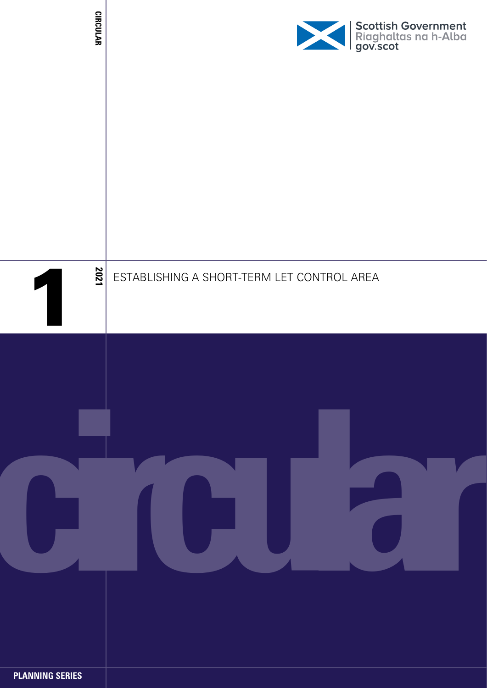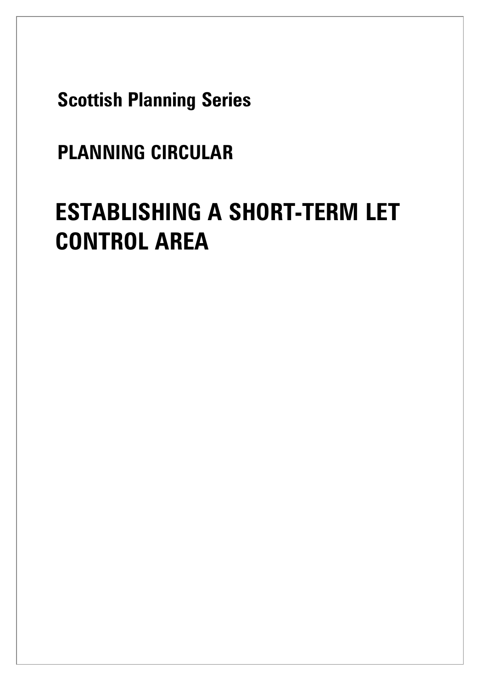**Scottish Planning Series**

## **PLANNING CIRCULAR**

# **ESTABLISHING A SHORT-TERM LET CONTROL AREA**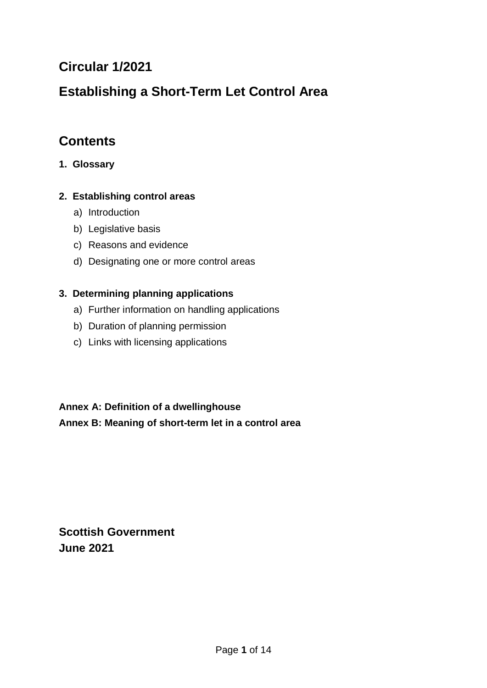## **Circular 1/2021**

## **Establishing a Short-Term Let Control Area**

## **Contents**

**1. Glossary**

#### **2. Establishing control areas**

- a) Introduction
- b) Legislative basis
- c) Reasons and evidence
- d) Designating one or more control areas

#### **3. Determining planning applications**

- a) Further information on handling applications
- b) Duration of planning permission
- c) Links with licensing applications

#### **Annex A: Definition of a dwellinghouse**

#### **Annex B: Meaning of short-term let in a control area**

**Scottish Government June 2021**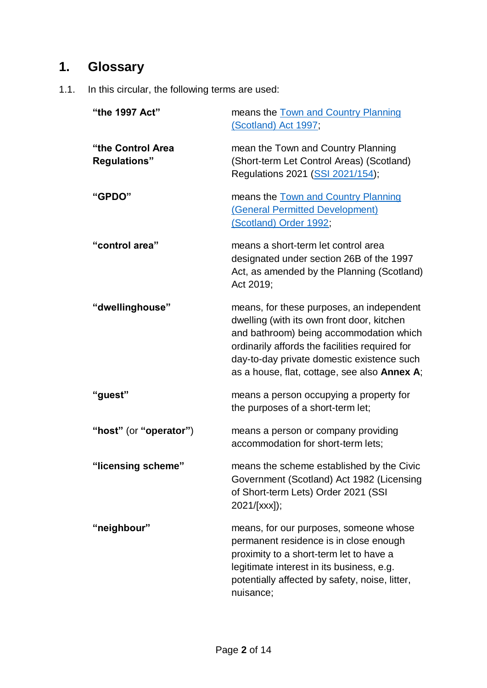## **1. Glossary**

1.1. In this circular, the following terms are used:

| "the 1997 Act"                           | means the Town and Country Planning<br>(Scotland) Act 1997;                                                                                                                                                                                                                        |
|------------------------------------------|------------------------------------------------------------------------------------------------------------------------------------------------------------------------------------------------------------------------------------------------------------------------------------|
| "the Control Area<br><b>Regulations"</b> | mean the Town and Country Planning<br>(Short-term Let Control Areas) (Scotland)<br>Regulations 2021 (SSI 2021/154);                                                                                                                                                                |
| "GPDO"                                   | means the Town and Country Planning<br>(General Permitted Development)<br>(Scotland) Order 1992;                                                                                                                                                                                   |
| "control area"                           | means a short-term let control area<br>designated under section 26B of the 1997<br>Act, as amended by the Planning (Scotland)<br>Act 2019;                                                                                                                                         |
| "dwellinghouse"                          | means, for these purposes, an independent<br>dwelling (with its own front door, kitchen<br>and bathroom) being accommodation which<br>ordinarily affords the facilities required for<br>day-to-day private domestic existence such<br>as a house, flat, cottage, see also Annex A; |
| "guest"                                  | means a person occupying a property for<br>the purposes of a short-term let;                                                                                                                                                                                                       |
| "host" (or "operator")                   | means a person or company providing<br>accommodation for short-term lets;                                                                                                                                                                                                          |
| "licensing scheme"                       | means the scheme established by the Civic<br>Government (Scotland) Act 1982 (Licensing<br>of Short-term Lets) Order 2021 (SSI<br>2021/[xxx]);                                                                                                                                      |
| "neighbour"                              | means, for our purposes, someone whose<br>permanent residence is in close enough<br>proximity to a short-term let to have a<br>legitimate interest in its business, e.g.<br>potentially affected by safety, noise, litter,<br>nuisance;                                            |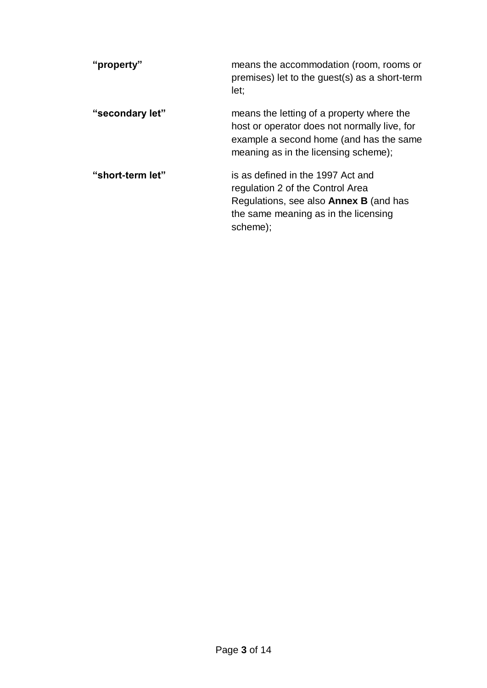| "property"       | means the accommodation (room, rooms or<br>premises) let to the guest(s) as a short-term<br>let:                                                                             |
|------------------|------------------------------------------------------------------------------------------------------------------------------------------------------------------------------|
| "secondary let"  | means the letting of a property where the<br>host or operator does not normally live, for<br>example a second home (and has the same<br>meaning as in the licensing scheme); |
| "short-term let" | is as defined in the 1997 Act and<br>regulation 2 of the Control Area<br>Regulations, see also <b>Annex B</b> (and has<br>the same meaning as in the licensing<br>scheme);   |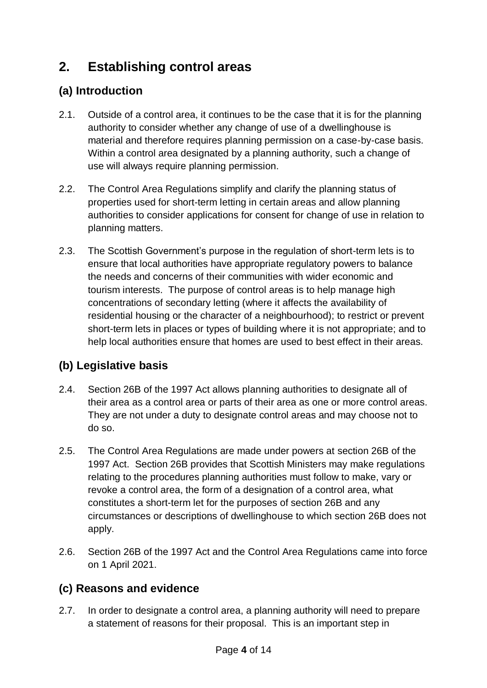## **2. Establishing control areas**

#### **(a) Introduction**

- 2.1. Outside of a control area, it continues to be the case that it is for the planning authority to consider whether any change of use of a dwellinghouse is material and therefore requires planning permission on a case-by-case basis. Within a control area designated by a planning authority, such a change of use will always require planning permission.
- 2.2. The Control Area Regulations simplify and clarify the planning status of properties used for short-term letting in certain areas and allow planning authorities to consider applications for consent for change of use in relation to planning matters.
- 2.3. The Scottish Government's purpose in the regulation of short-term lets is to ensure that local authorities have appropriate regulatory powers to balance the needs and concerns of their communities with wider economic and tourism interests. The purpose of control areas is to help manage high concentrations of secondary letting (where it affects the availability of residential housing or the character of a neighbourhood); to restrict or prevent short-term lets in places or types of building where it is not appropriate; and to help local authorities ensure that homes are used to best effect in their areas.

#### **(b) Legislative basis**

- 2.4. Section 26B of the 1997 Act allows planning authorities to designate all of their area as a control area or parts of their area as one or more control areas. They are not under a duty to designate control areas and may choose not to do so.
- 2.5. The Control Area Regulations are made under powers at section 26B of the 1997 Act. Section 26B provides that Scottish Ministers may make regulations relating to the procedures planning authorities must follow to make, vary or revoke a control area, the form of a designation of a control area, what constitutes a short-term let for the purposes of section 26B and any circumstances or descriptions of dwellinghouse to which section 26B does not apply.
- 2.6. Section 26B of the 1997 Act and the Control Area Regulations came into force on 1 April 2021.

#### **(c) Reasons and evidence**

2.7. In order to designate a control area, a planning authority will need to prepare a statement of reasons for their proposal. This is an important step in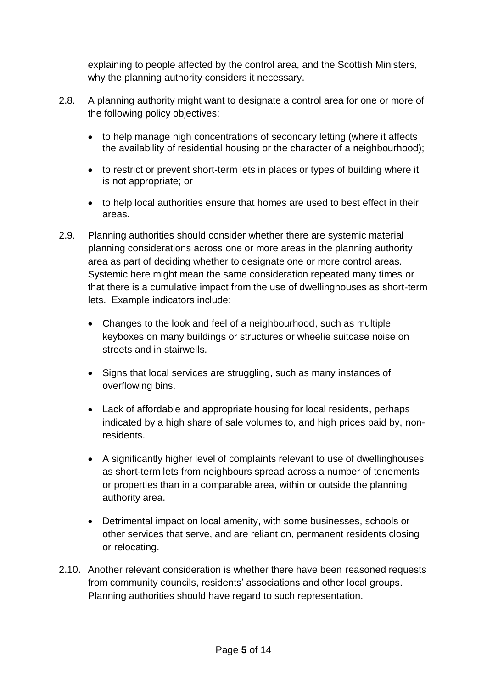explaining to people affected by the control area, and the Scottish Ministers, why the planning authority considers it necessary.

- 2.8. A planning authority might want to designate a control area for one or more of the following policy objectives:
	- to help manage high concentrations of secondary letting (where it affects the availability of residential housing or the character of a neighbourhood);
	- to restrict or prevent short-term lets in places or types of building where it is not appropriate; or
	- to help local authorities ensure that homes are used to best effect in their areas.
- 2.9. Planning authorities should consider whether there are systemic material planning considerations across one or more areas in the planning authority area as part of deciding whether to designate one or more control areas. Systemic here might mean the same consideration repeated many times or that there is a cumulative impact from the use of dwellinghouses as short-term lets. Example indicators include:
	- Changes to the look and feel of a neighbourhood, such as multiple keyboxes on many buildings or structures or wheelie suitcase noise on streets and in stairwells.
	- Signs that local services are struggling, such as many instances of overflowing bins.
	- Lack of affordable and appropriate housing for local residents, perhaps indicated by a high share of sale volumes to, and high prices paid by, nonresidents.
	- A significantly higher level of complaints relevant to use of dwellinghouses as short-term lets from neighbours spread across a number of tenements or properties than in a comparable area, within or outside the planning authority area.
	- Detrimental impact on local amenity, with some businesses, schools or other services that serve, and are reliant on, permanent residents closing or relocating.
- 2.10. Another relevant consideration is whether there have been reasoned requests from community councils, residents' associations and other local groups. Planning authorities should have regard to such representation.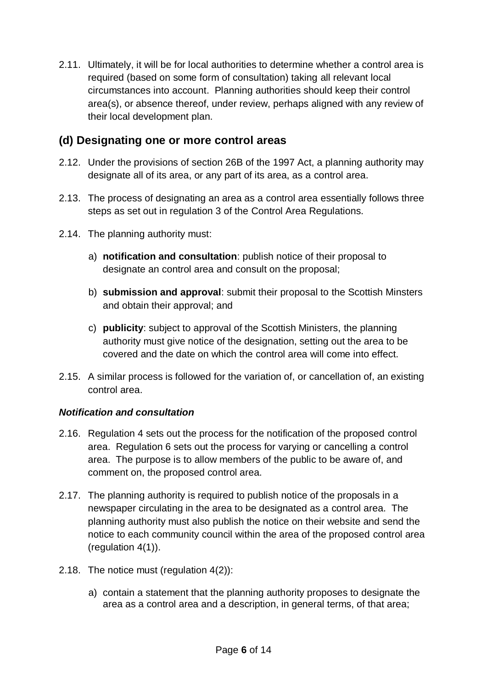2.11. Ultimately, it will be for local authorities to determine whether a control area is required (based on some form of consultation) taking all relevant local circumstances into account. Planning authorities should keep their control area(s), or absence thereof, under review, perhaps aligned with any review of their local development plan.

#### **(d) Designating one or more control areas**

- 2.12. Under the provisions of section 26B of the 1997 Act, a planning authority may designate all of its area, or any part of its area, as a control area.
- 2.13. The process of designating an area as a control area essentially follows three steps as set out in regulation 3 of the Control Area Regulations.
- 2.14. The planning authority must:
	- a) **notification and consultation**: publish notice of their proposal to designate an control area and consult on the proposal;
	- b) **submission and approval**: submit their proposal to the Scottish Minsters and obtain their approval; and
	- c) **publicity**: subject to approval of the Scottish Ministers, the planning authority must give notice of the designation, setting out the area to be covered and the date on which the control area will come into effect.
- 2.15. A similar process is followed for the variation of, or cancellation of, an existing control area.

#### *Notification and consultation*

- 2.16. Regulation 4 sets out the process for the notification of the proposed control area. Regulation 6 sets out the process for varying or cancelling a control area. The purpose is to allow members of the public to be aware of, and comment on, the proposed control area.
- 2.17. The planning authority is required to publish notice of the proposals in a newspaper circulating in the area to be designated as a control area. The planning authority must also publish the notice on their website and send the notice to each community council within the area of the proposed control area (regulation 4(1)).
- 2.18. The notice must (regulation 4(2)):
	- a) contain a statement that the planning authority proposes to designate the area as a control area and a description, in general terms, of that area;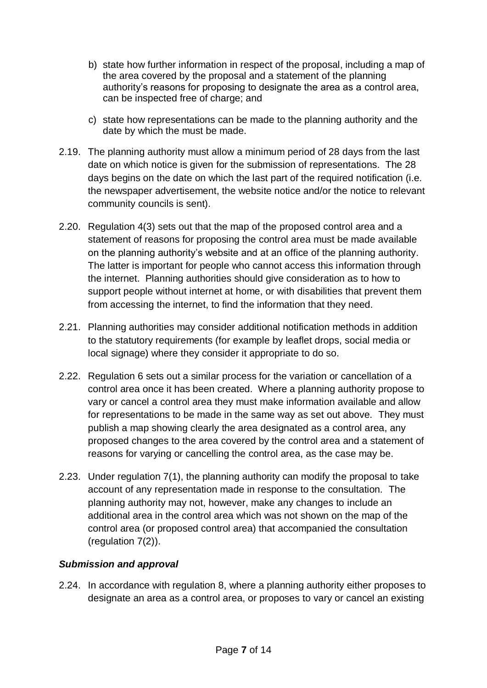- b) state how further information in respect of the proposal, including a map of the area covered by the proposal and a statement of the planning authority's reasons for proposing to designate the area as a control area, can be inspected free of charge; and
- c) state how representations can be made to the planning authority and the date by which the must be made.
- 2.19. The planning authority must allow a minimum period of 28 days from the last date on which notice is given for the submission of representations. The 28 days begins on the date on which the last part of the required notification (i.e. the newspaper advertisement, the website notice and/or the notice to relevant community councils is sent).
- 2.20. Regulation 4(3) sets out that the map of the proposed control area and a statement of reasons for proposing the control area must be made available on the planning authority's website and at an office of the planning authority. The latter is important for people who cannot access this information through the internet. Planning authorities should give consideration as to how to support people without internet at home, or with disabilities that prevent them from accessing the internet, to find the information that they need.
- 2.21. Planning authorities may consider additional notification methods in addition to the statutory requirements (for example by leaflet drops, social media or local signage) where they consider it appropriate to do so.
- 2.22. Regulation 6 sets out a similar process for the variation or cancellation of a control area once it has been created. Where a planning authority propose to vary or cancel a control area they must make information available and allow for representations to be made in the same way as set out above. They must publish a map showing clearly the area designated as a control area, any proposed changes to the area covered by the control area and a statement of reasons for varying or cancelling the control area, as the case may be.
- 2.23. Under regulation 7(1), the planning authority can modify the proposal to take account of any representation made in response to the consultation. The planning authority may not, however, make any changes to include an additional area in the control area which was not shown on the map of the control area (or proposed control area) that accompanied the consultation (regulation 7(2)).

#### *Submission and approval*

2.24. In accordance with regulation 8, where a planning authority either proposes to designate an area as a control area, or proposes to vary or cancel an existing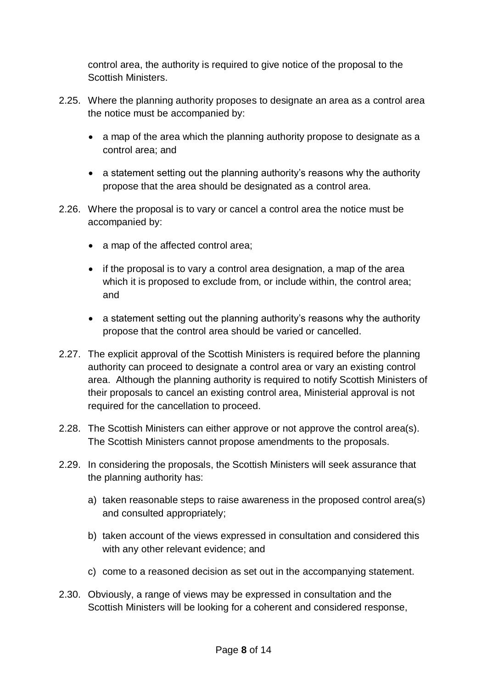control area, the authority is required to give notice of the proposal to the Scottish Ministers.

- 2.25. Where the planning authority proposes to designate an area as a control area the notice must be accompanied by:
	- a map of the area which the planning authority propose to designate as a control area; and
	- a statement setting out the planning authority's reasons why the authority propose that the area should be designated as a control area.
- 2.26. Where the proposal is to vary or cancel a control area the notice must be accompanied by:
	- a map of the affected control area;
	- if the proposal is to vary a control area designation, a map of the area which it is proposed to exclude from, or include within, the control area; and
	- a statement setting out the planning authority's reasons why the authority propose that the control area should be varied or cancelled.
- 2.27. The explicit approval of the Scottish Ministers is required before the planning authority can proceed to designate a control area or vary an existing control area. Although the planning authority is required to notify Scottish Ministers of their proposals to cancel an existing control area, Ministerial approval is not required for the cancellation to proceed.
- 2.28. The Scottish Ministers can either approve or not approve the control area(s). The Scottish Ministers cannot propose amendments to the proposals.
- 2.29. In considering the proposals, the Scottish Ministers will seek assurance that the planning authority has:
	- a) taken reasonable steps to raise awareness in the proposed control area(s) and consulted appropriately;
	- b) taken account of the views expressed in consultation and considered this with any other relevant evidence; and
	- c) come to a reasoned decision as set out in the accompanying statement.
- 2.30. Obviously, a range of views may be expressed in consultation and the Scottish Ministers will be looking for a coherent and considered response,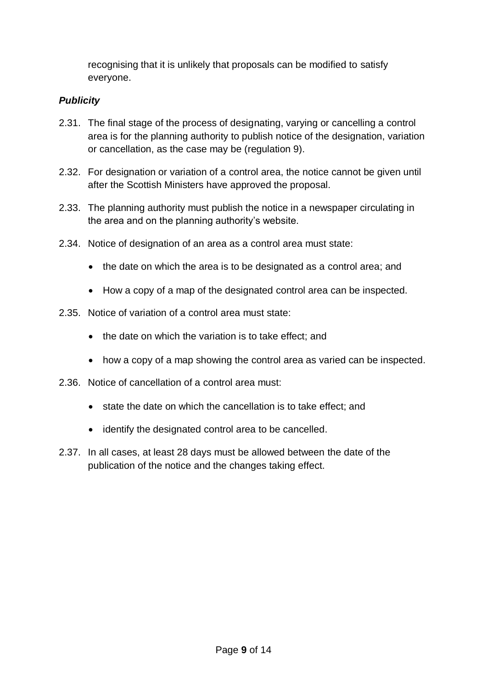recognising that it is unlikely that proposals can be modified to satisfy everyone.

#### *Publicity*

- 2.31. The final stage of the process of designating, varying or cancelling a control area is for the planning authority to publish notice of the designation, variation or cancellation, as the case may be (regulation 9).
- 2.32. For designation or variation of a control area, the notice cannot be given until after the Scottish Ministers have approved the proposal.
- 2.33. The planning authority must publish the notice in a newspaper circulating in the area and on the planning authority's website.
- 2.34. Notice of designation of an area as a control area must state:
	- the date on which the area is to be designated as a control area; and
	- How a copy of a map of the designated control area can be inspected.
- 2.35. Notice of variation of a control area must state:
	- the date on which the variation is to take effect; and
	- how a copy of a map showing the control area as varied can be inspected.
- 2.36. Notice of cancellation of a control area must:
	- state the date on which the cancellation is to take effect; and
	- identify the designated control area to be cancelled.
- 2.37. In all cases, at least 28 days must be allowed between the date of the publication of the notice and the changes taking effect.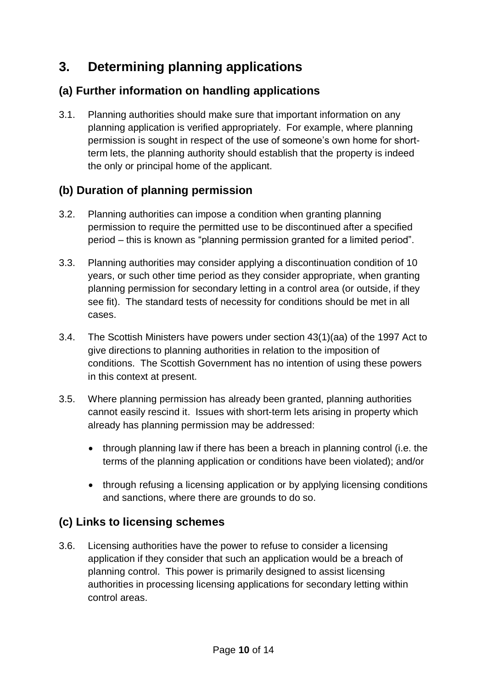## **3. Determining planning applications**

#### **(a) Further information on handling applications**

3.1. Planning authorities should make sure that important information on any planning application is verified appropriately. For example, where planning permission is sought in respect of the use of someone's own home for shortterm lets, the planning authority should establish that the property is indeed the only or principal home of the applicant.

#### **(b) Duration of planning permission**

- 3.2. Planning authorities can impose a condition when granting planning permission to require the permitted use to be discontinued after a specified period – this is known as "planning permission granted for a limited period".
- 3.3. Planning authorities may consider applying a discontinuation condition of 10 years, or such other time period as they consider appropriate, when granting planning permission for secondary letting in a control area (or outside, if they see fit). The standard tests of necessity for conditions should be met in all cases.
- 3.4. The Scottish Ministers have powers under section 43(1)(aa) of the 1997 Act to give directions to planning authorities in relation to the imposition of conditions. The Scottish Government has no intention of using these powers in this context at present.
- 3.5. Where planning permission has already been granted, planning authorities cannot easily rescind it. Issues with short-term lets arising in property which already has planning permission may be addressed:
	- through planning law if there has been a breach in planning control (i.e. the terms of the planning application or conditions have been violated); and/or
	- through refusing a licensing application or by applying licensing conditions and sanctions, where there are grounds to do so.

#### **(c) Links to licensing schemes**

3.6. Licensing authorities have the power to refuse to consider a licensing application if they consider that such an application would be a breach of planning control. This power is primarily designed to assist licensing authorities in processing licensing applications for secondary letting within control areas.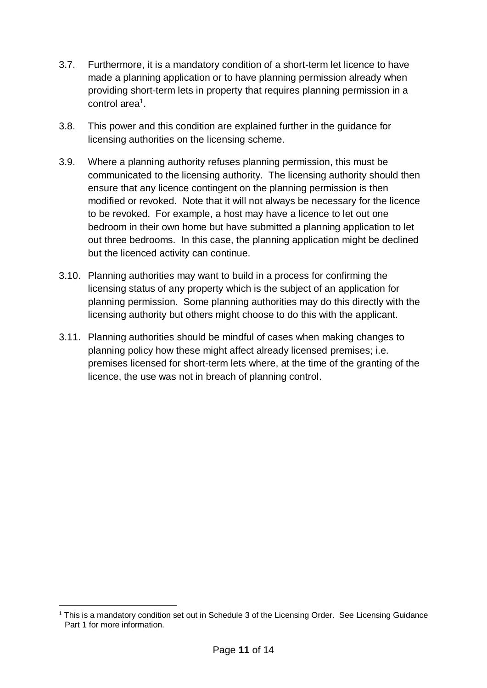- 3.7. Furthermore, it is a mandatory condition of a short-term let licence to have made a planning application or to have planning permission already when providing short-term lets in property that requires planning permission in a control area<sup>1</sup>.
- 3.8. This power and this condition are explained further in the guidance for licensing authorities on the licensing scheme.
- 3.9. Where a planning authority refuses planning permission, this must be communicated to the licensing authority. The licensing authority should then ensure that any licence contingent on the planning permission is then modified or revoked. Note that it will not always be necessary for the licence to be revoked. For example, a host may have a licence to let out one bedroom in their own home but have submitted a planning application to let out three bedrooms. In this case, the planning application might be declined but the licenced activity can continue.
- 3.10. Planning authorities may want to build in a process for confirming the licensing status of any property which is the subject of an application for planning permission. Some planning authorities may do this directly with the licensing authority but others might choose to do this with the applicant.
- 3.11. Planning authorities should be mindful of cases when making changes to planning policy how these might affect already licensed premises; i.e. premises licensed for short-term lets where, at the time of the granting of the licence, the use was not in breach of planning control.

<sup>-</sup><sup>1</sup> This is a mandatory condition set out in Schedule 3 of the Licensing Order. See Licensing Guidance Part 1 for more information.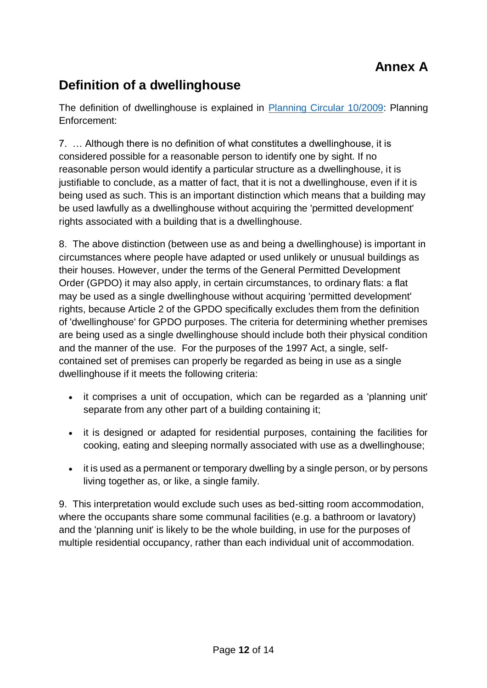## **Definition of a dwellinghouse**

The definition of dwellinghouse is explained in [Planning Circular 10/2009:](https://www.gov.scot/publications/planning-circular-10-2009-planning-enforcement/pages/2/) Planning Enforcement:

7. … Although there is no definition of what constitutes a dwellinghouse, it is considered possible for a reasonable person to identify one by sight. If no reasonable person would identify a particular structure as a dwellinghouse, it is justifiable to conclude, as a matter of fact, that it is not a dwellinghouse, even if it is being used as such. This is an important distinction which means that a building may be used lawfully as a dwellinghouse without acquiring the 'permitted development' rights associated with a building that is a dwellinghouse.

8. The above distinction (between use as and being a dwellinghouse) is important in circumstances where people have adapted or used unlikely or unusual buildings as their houses. However, under the terms of the General Permitted Development Order (GPDO) it may also apply, in certain circumstances, to ordinary flats: a flat may be used as a single dwellinghouse without acquiring 'permitted development' rights, because Article 2 of the GPDO specifically excludes them from the definition of 'dwellinghouse' for GPDO purposes. The criteria for determining whether premises are being used as a single dwellinghouse should include both their physical condition and the manner of the use. For the purposes of the 1997 Act, a single, selfcontained set of premises can properly be regarded as being in use as a single dwellinghouse if it meets the following criteria:

- it comprises a unit of occupation, which can be regarded as a 'planning unit' separate from any other part of a building containing it;
- it is designed or adapted for residential purposes, containing the facilities for cooking, eating and sleeping normally associated with use as a dwellinghouse;
- it is used as a permanent or temporary dwelling by a single person, or by persons living together as, or like, a single family.

9. This interpretation would exclude such uses as bed-sitting room accommodation, where the occupants share some communal facilities (e.g. a bathroom or lavatory) and the 'planning unit' is likely to be the whole building, in use for the purposes of multiple residential occupancy, rather than each individual unit of accommodation.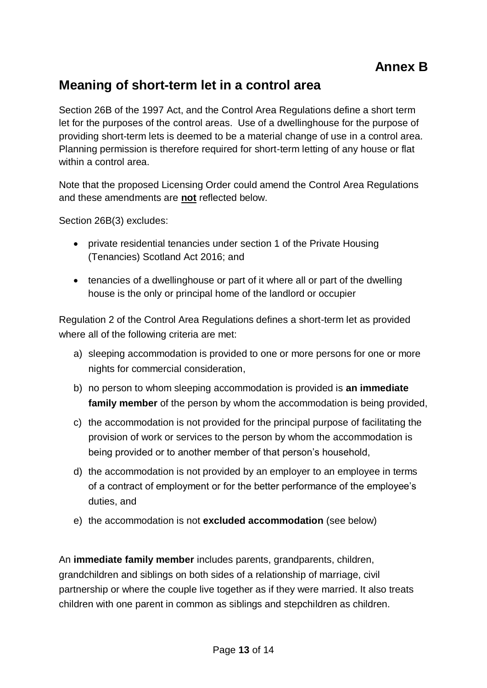### **Meaning of short-term let in a control area**

Section 26B of the 1997 Act, and the Control Area Regulations define a short term let for the purposes of the control areas. Use of a dwellinghouse for the purpose of providing short-term lets is deemed to be a material change of use in a control area. Planning permission is therefore required for short-term letting of any house or flat within a control area.

Note that the proposed Licensing Order could amend the Control Area Regulations and these amendments are **not** reflected below.

Section 26B(3) excludes:

- private residential tenancies under section 1 of the Private Housing (Tenancies) Scotland Act 2016; and
- tenancies of a dwellinghouse or part of it where all or part of the dwelling house is the only or principal home of the landlord or occupier

Regulation 2 of the Control Area Regulations defines a short-term let as provided where all of the following criteria are met:

- a) sleeping accommodation is provided to one or more persons for one or more nights for commercial consideration,
- b) no person to whom sleeping accommodation is provided is **an immediate family member** of the person by whom the accommodation is being provided,
- c) the accommodation is not provided for the principal purpose of facilitating the provision of work or services to the person by whom the accommodation is being provided or to another member of that person's household,
- d) the accommodation is not provided by an employer to an employee in terms of a contract of employment or for the better performance of the employee's duties, and
- e) the accommodation is not **excluded accommodation** (see below)

An **immediate family member** includes parents, grandparents, children, grandchildren and siblings on both sides of a relationship of marriage, civil partnership or where the couple live together as if they were married. It also treats children with one parent in common as siblings and stepchildren as children.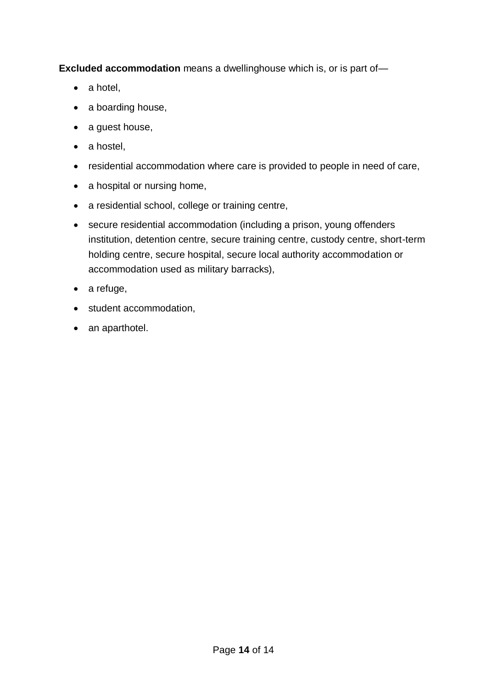**Excluded accommodation** means a dwellinghouse which is, or is part of—

- a hotel,
- a boarding house,
- a guest house,
- a hostel,
- residential accommodation where care is provided to people in need of care,
- a hospital or nursing home,
- a residential school, college or training centre,
- secure residential accommodation (including a prison, young offenders institution, detention centre, secure training centre, custody centre, short-term holding centre, secure hospital, secure local authority accommodation or accommodation used as military barracks),
- a refuge,
- student accommodation,
- an aparthotel.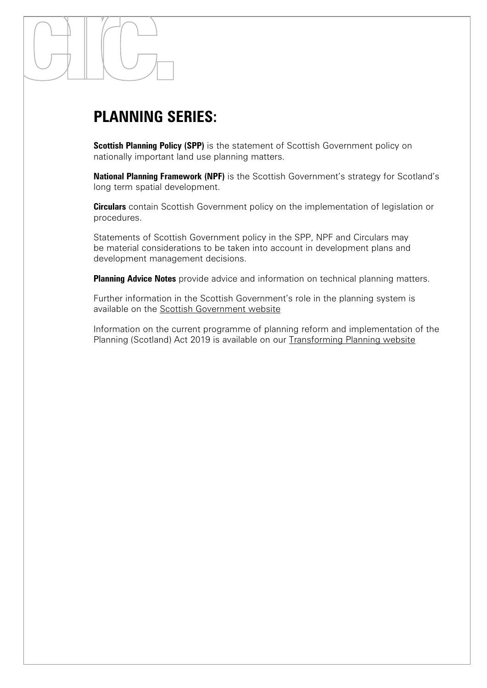## **PLANNING SERIES:**

**Scottish Planning Policy (SPP)** is the statement of Scottish Government policy on nationally important land use planning matters.

**National Planning Framework (NPF)** is the Scottish Government's strategy for Scotland's long term spatial development.

**Circulars** contain Scottish Government policy on the implementation of legislation or procedures.

Statements of Scottish Government policy in the SPP, NPF and Circulars may be material considerations to be taken into account in development plans and development management decisions.

**Planning Advice Notes** provide advice and information on technical planning matters.

Further information in the Scottish Government's role in the planning system is available on the [Scottish Government website](https://www.gov.scot/policies/planning-architecture/planning-guidance/)

Information on the current programme of planning reform and implementation of the Planning (Scotland) Act 2019 is available on our [Transforming Planning website](https://www.transformingplanning.scot/)